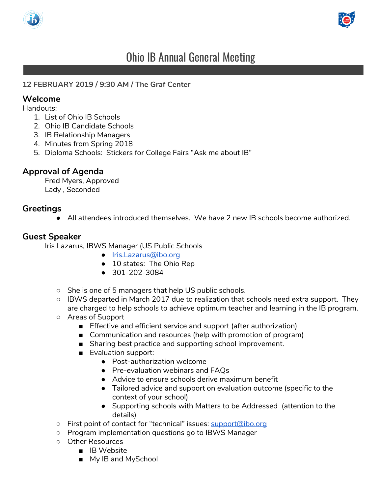



# Ohio IB Annual General Meeting

#### **12 FEBRUARY 2019 / 9:30 AM / The Graf Center**

#### **Welcome**

Handouts:

- 1. List of Ohio IB Schools
- 2. Ohio IB Candidate Schools
- 3. IB Relationship Managers
- 4. Minutes from Spring 2018
- 5. Diploma Schools: Stickers for College Fairs "Ask me about IB"

### **Approval of Agenda**

Fred Myers, Approved Lady , Seconded

#### **Greetings**

● All attendees introduced themselves. We have 2 new IB schools become authorized.

#### **Guest Speaker**

Iris Lazarus, IBWS Manager (US Public Schools

- [Iris.Lazarus@ibo.org](mailto:Iris.Lazarus@ibo.org)
- 10 states: The Ohio Rep
- 301-202-3084
- She is one of 5 managers that help US public schools.
- IBWS departed in March 2017 due to realization that schools need extra support. They are charged to help schools to achieve optimum teacher and learning in the IB program.
- Areas of Support
	- Effective and efficient service and support (after authorization)
	- Communication and resources (help with promotion of program)
	- Sharing best practice and supporting school improvement.
	- Evaluation support:
		- Post-authorization welcome
		- Pre-evaluation webinars and FAQs
		- Advice to ensure schools derive maximum benefit
		- Tailored advice and support on evaluation outcome (specific to the context of your school)
		- Supporting schools with Matters to be Addressed (attention to the details)
- First point of contact for "technical" issues: [support@ibo.org](mailto:support@ibo.org)
- Program implementation questions go to IBWS Manager
- Other Resources
	- IB Website
	- My IB and MySchool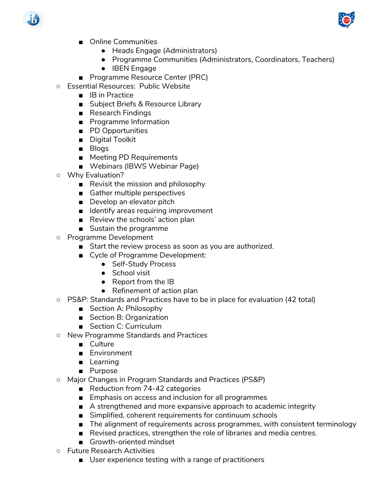



- Online Communities
	- Heads Engage (Administrators)
	- Programme Communities (Administrators, Coordinators, Teachers)
	- IBEN Engage
- Programme Resource Center (PRC)
- Essential Resources: Public Website
	- IB in Practice
	- Subject Briefs & Resource Library
	- Research Findings
	- Programme Information
	- PD Opportunities
	- Digital Toolkit
	- Blogs
	- Meeting PD Requirements
	- Webinars (IBWS Webinar Page)
- Why Evaluation?
	- Revisit the mission and philosophy
	- Gather multiple perspectives
	- Develop an elevator pitch
	- Identify areas requiring improvement
	- Review the schools' action plan
	- Sustain the programme
- Programme Development
	- Start the review process as soon as you are authorized.
	- Cycle of Programme Development:
		- Self-Study Process
		- School visit
		- Report from the IB
		- Refinement of action plan
- PS&P: Standards and Practices have to be in place for evaluation (42 total)
	- Section A: Philosophy
	- Section B: Organization
	- Section C: Curriculum
- New Programme Standards and Practices
	- Culture
	- Environment
	- Learning
	- Purpose
- Major Changes in Program Standards and Practices (PS&P)
	- Reduction from 74-42 categories
	- Emphasis on access and inclusion for all programmes
	- A strengthened and more expansive approach to academic integrity
	- Simplified, coherent requirements for continuum schools
	- The alignment of requirements across programmes, with consistent terminology
	- Revised practices, strengthen the role of libraries and media centres.
	- Growth-oriented mindset
- Future Research Activities
	- User experience testing with a range of practitioners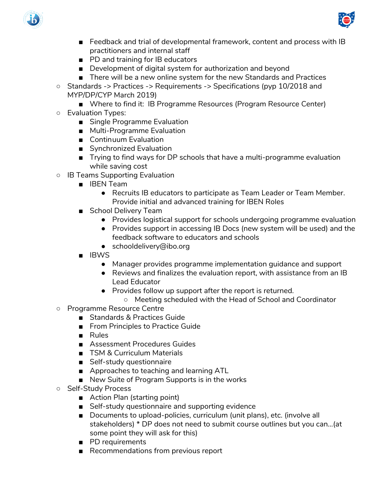



- Feedback and trial of developmental framework, content and process with IB practitioners and internal staff
- PD and training for IB educators
- Development of digital system for authorization and beyond
- There will be a new online system for the new Standards and Practices
- Standards -> Practices -> Requirements -> Specifications (pyp 10/2018 and MYP/DP/CYP March 2019)
	- Where to find it: IB Programme Resources (Program Resource Center)
- Evaluation Types:
	- Single Programme Evaluation
	- Multi-Programme Evaluation
	- Continuum Evaluation
	- Synchronized Evaluation
	- Trying to find ways for DP schools that have a multi-programme evaluation while saving cost
- IB Teams Supporting Evaluation
	- IBEN Team
		- Recruits IB educators to participate as Team Leader or Team Member. Provide initial and advanced training for IBEN Roles
	- School Delivery Team
		- Provides logistical support for schools undergoing programme evaluation
		- Provides support in accessing IB Docs (new system will be used) and the feedback software to educators and schools
		- schooldelivery@ibo.org
	- IBWS
		- Manager provides programme implementation guidance and support
		- Reviews and finalizes the evaluation report, with assistance from an IB Lead Educator
		- Provides follow up support after the report is returned.
			- Meeting scheduled with the Head of School and Coordinator
- Programme Resource Centre
	- Standards & Practices Guide
	- From Principles to Practice Guide
	- Rules
	- Assessment Procedures Guides
	- TSM & Curriculum Materials
	- Self-study questionnaire
	- Approaches to teaching and learning ATL
	- New Suite of Program Supports is in the works
- Self-Study Process
	- Action Plan (starting point)
	- Self-study questionnaire and supporting evidence
	- Documents to upload-policies, curriculum (unit plans), etc. (involve all stakeholders) \* DP does not need to submit course outlines but you can…(at some point they will ask for this)
	- PD requirements
	- Recommendations from previous report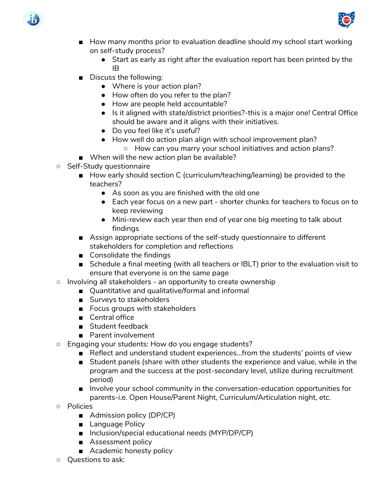



- How many months prior to evaluation deadline should my school start working on self-study process?
	- Start as early as right after the evaluation report has been printed by the IB
- Discuss the following:
	- Where is your action plan?
	- How often do you refer to the plan?
	- How are people held accountable?
	- Is it aligned with state/district priorities?-this is a major one! Central Office should be aware and it aligns with their initiatives.
	- Do you feel like it's useful?
	- How well do action plan align with school improvement plan?
		- How can you marry your school initiatives and action plans?
- When will the new action plan be available?
- Self-Study questionnaire
	- How early should section C (curriculum/teaching/learning) be provided to the teachers?
		- As soon as you are finished with the old one
		- Each year focus on a new part shorter chunks for teachers to focus on to keep reviewing
		- Mini-review each year then end of year one big meeting to talk about findings
	- Assign appropriate sections of the self-study questionnaire to different stakeholders for completion and reflections
	- Consolidate the findings
	- Schedule a final meeting (with all teachers or IBLT) prior to the evaluation visit to ensure that everyone is on the same page
- Involving all stakeholders an opportunity to create ownership
	- Quantitative and qualitative/formal and informal
	- Surveys to stakeholders
	- Focus groups with stakeholders
	- Central office
	- Student feedback
	- Parent involvement
- Engaging your students: How do you engage students?
	- Reflect and understand student experiences...from the students' points of view
	- Student panels (share with other students the experience and value, while in the program and the success at the post-secondary level, utilize during recruitment period)
	- Involve your school community in the conversation-education opportunities for parents-i.e. Open House/Parent Night, Curriculum/Articulation night, etc.
- Policies
	- Admission policy (DP/CP)
	- Language Policy
	- Inclusion/special educational needs (MYP/DP/CP)
	- Assessment policy
	- Academic honesty policy
- Questions to ask: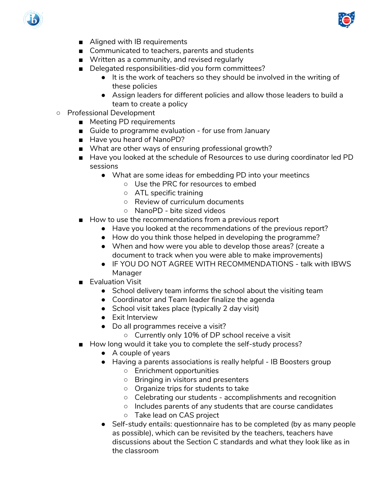



- Aligned with IB requirements
- Communicated to teachers, parents and students
- Written as a community, and revised regularly
- Delegated responsibilities-did you form committees?
	- It is the work of teachers so they should be involved in the writing of these policies
	- Assign leaders for different policies and allow those leaders to build a team to create a policy
- Professional Development
	- Meeting PD requirements
	- Guide to programme evaluation for use from January
	- Have you heard of NanoPD?
	- What are other ways of ensuring professional growth?
	- Have you looked at the schedule of Resources to use during coordinator led PD sessions
		- What are some ideas for embedding PD into your meetincs
			- Use the PRC for resources to embed
			- ATL specific training
			- Review of curriculum documents
			- NanoPD bite sized videos
	- How to use the recommendations from a previous report
		- Have you looked at the recommendations of the previous report?
		- How do you think those helped in developing the programme?
		- When and how were you able to develop those areas? (create a document to track when you were able to make improvements)
		- IF YOU DO NOT AGREE WITH RECOMMENDATIONS talk with IBWS Manager
	- Evaluation Visit
		- School delivery team informs the school about the visiting team
		- Coordinator and Team leader finalize the agenda
		- School visit takes place (typically 2 day visit)
		- Exit Interview
		- Do all programmes receive a visit?
			- Currently only 10% of DP school receive a visit
	- How long would it take you to complete the self-study process?
		- A couple of years
		- Having a parents associations is really helpful IB Boosters group
			- Enrichment opportunities
			- Bringing in visitors and presenters
			- Organize trips for students to take
			- Celebrating our students accomplishments and recognition
			- Includes parents of any students that are course candidates
			- Take lead on CAS project
		- Self-study entails: questionnaire has to be completed (by as many people as possible), which can be revisited by the teachers, teachers have discussions about the Section C standards and what they look like as in the classroom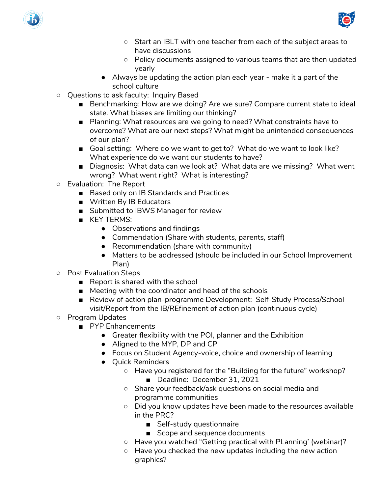



- Start an IBLT with one teacher from each of the subject areas to have discussions
- Policy documents assigned to various teams that are then updated yearly
- Always be updating the action plan each year make it a part of the school culture
- Questions to ask faculty: Inquiry Based
	- Benchmarking: How are we doing? Are we sure? Compare current state to ideal state. What biases are limiting our thinking?
	- Planning: What resources are we going to need? What constraints have to overcome? What are our next steps? What might be unintended consequences of our plan?
	- Goal setting: Where do we want to get to? What do we want to look like? What experience do we want our students to have?
	- Diagnosis: What data can we look at? What data are we missing? What went wrong? What went right? What is interesting?
- Evaluation: The Report
	- Based only on IB Standards and Practices
	- Written By IB Educators
	- Submitted to IBWS Manager for review
	- KEY TERMS:
		- Observations and findings
		- Commendation (Share with students, parents, staff)
		- Recommendation (share with community)
		- Matters to be addressed (should be included in our School Improvement Plan)
- Post Evaluation Steps
	- Report is shared with the school
	- Meeting with the coordinator and head of the schools
	- Review of action plan-programme Development: Self-Study Process/School visit/Report from the IB/REfinement of action plan (continuous cycle)
- Program Updates
	- PYP Enhancements
		- Greater flexibility with the POI, planner and the Exhibition
		- Aligned to the MYP, DP and CP
		- Focus on Student Agency-voice, choice and ownership of learning
		- Quick Reminders
			- Have you registered for the "Building for the future" workshop? ■ Deadline: December 31, 2021
			- Share your feedback/ask questions on social media and programme communities
			- Did you know updates have been made to the resources available in the PRC?
				- Self-study questionnaire
				- Scope and sequence documents
			- Have you watched "Getting practical with PLanning' (webinar)?
			- Have you checked the new updates including the new action graphics?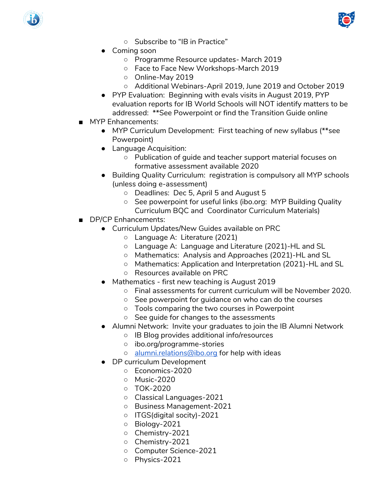



- Subscribe to "IB in Practice"
- Coming soon
	- Programme Resource updates- March 2019
	- Face to Face New Workshops-March 2019
	- Online-May 2019
	- Additional Webinars-April 2019, June 2019 and October 2019
- PYP Evaluation: Beginning with evals visits in August 2019, PYP evaluation reports for IB World Schools will NOT identify matters to be addressed: \*\*See Powerpoint or find the Transition Guide online
- MYP Enhancements:
	- MYP Curriculum Development: First teaching of new syllabus (\*\*see Powerpoint)
	- Language Acquisition:
		- Publication of guide and teacher support material focuses on formative assessment available 2020
	- Building Quality Curriculum: registration is compulsory all MYP schools (unless doing e-assessment)
		- Deadlines: Dec 5, April 5 and August 5
		- See powerpoint for useful links (ibo.org: MYP Building Quality Curriculum BQC and Coordinator Curriculum Materials)
- DP/CP Enhancements:
	- Curriculum Updates/New Guides available on PRC
		- Language A: Literature (2021)
		- Language A: Language and Literature (2021)-HL and SL
		- Mathematics: Analysis and Approaches (2021)-HL and SL
		- Mathematics: Application and Interpretation (2021)-HL and SL
		- Resources available on PRC
	- **Mathematics first new teaching is August 2019** 
		- Final assessments for current curriculum will be November 2020.
		- See powerpoint for guidance on who can do the courses
		- Tools comparing the two courses in Powerpoint
		- See guide for changes to the assessments
	- Alumni Network: Invite your graduates to join the IB Alumni Network
		- IB Blog provides additional info/resources
		- ibo.org/programme-stories
		- o [alumni.relations@ibo.org](mailto:alumni.relations@ibo.org) for help with ideas
	- DP curriculum Development
		- Economics-2020
		- Music-2020
		- TOK-2020
		- Classical Languages-2021
		- Business Management-2021
		- ITGS(digital socity)-2021
		- Biology-2021
		- Chemistry-2021
		- Chemistry-2021
		- Computer Science-2021
		- Physics-2021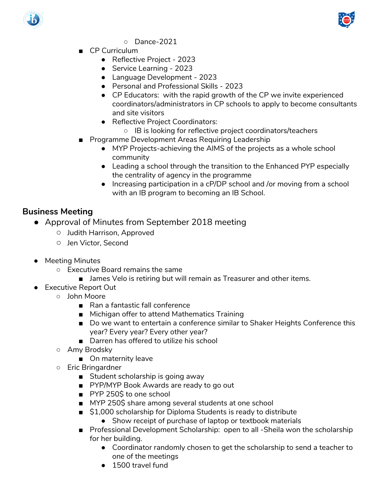



- Dance-2021
- CP Curriculum
	- Reflective Project 2023
	- Service Learning 2023
	- Language Development 2023
	- Personal and Professional Skills 2023
	- CP Educators: with the rapid growth of the CP we invite experienced coordinators/administrators in CP schools to apply to become consultants and site visitors
	- Reflective Project Coordinators:
		- IB is looking for reflective project coordinators/teachers
- Programme Development Areas Requiring Leadership
	- MYP Projects-achieving the AIMS of the projects as a whole school community
	- Leading a school through the transition to the Enhanced PYP especially the centrality of agency in the programme
	- Increasing participation in a cP/DP school and /or moving from a school with an IB program to becoming an IB School.

## **Business Meeting**

- Approval of Minutes from September 2018 meeting
	- Judith Harrison, Approved
	- Jen Victor, Second
- Meeting Minutes
	- Executive Board remains the same
		- James Velo is retiring but will remain as Treasurer and other items.
- Executive Report Out
	- John Moore
		- Ran a fantastic fall conference
		- Michigan offer to attend Mathematics Training
		- Do we want to entertain a conference similar to Shaker Heights Conference this year? Every year? Every other year?
		- Darren has offered to utilize his school
	- Amy Brodsky
		- On maternity leave
	- Eric Bringardner
		- Student scholarship is going away
		- PYP/MYP Book Awards are ready to go out
		- PYP 250\$ to one school
		- MYP 250\$ share among several students at one school
		- \$1,000 scholarship for Diploma Students is ready to distribute
			- Show receipt of purchase of laptop or textbook materials
		- Professional Development Scholarship: open to all -Sheila won the scholarship for her building.
			- Coordinator randomly chosen to get the scholarship to send a teacher to one of the meetings
			- 1500 travel fund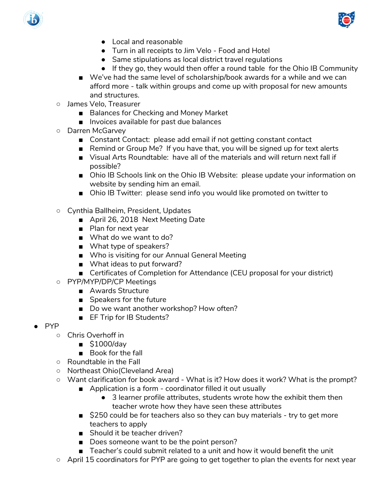



- Local and reasonable
- Turn in all receipts to Jim Velo Food and Hotel
- Same stipulations as local district travel regulations
- If they go, they would then offer a round table for the Ohio IB Community
- We've had the same level of scholarship/book awards for a while and we can afford more - talk within groups and come up with proposal for new amounts and structures.
- James Velo, Treasurer
	- Balances for Checking and Money Market
	- Invoices available for past due balances
- Darren McGarvey
	- Constant Contact: please add email if not getting constant contact
	- Remind or Group Me? If you have that, you will be signed up for text alerts
	- Visual Arts Roundtable: have all of the materials and will return next fall if possible?
	- Ohio IB Schools link on the Ohio IB Website: please update your information on website by sending him an email.
	- Ohio IB Twitter: please send info you would like promoted on twitter to
- Cynthia Ballheim, President, Updates
	- April 26, 2018 Next Meeting Date
	- Plan for next year
	- What do we want to do?
	- What type of speakers?
	- Who is visiting for our Annual General Meeting
	- What ideas to put forward?
	- Certificates of Completion for Attendance (CEU proposal for your district)
- PYP/MYP/DP/CP Meetings
	- Awards Structure
	- Speakers for the future
	- Do we want another workshop? How often?
	- EF Trip for IB Students?
- PYP
	- Chris Overhoff in
		- \$1000/dav
		- Book for the fall
	- Roundtable in the Fall
	- Northeast Ohio(Cleveland Area)
	- Want clarification for book award What is it? How does it work? What is the prompt?
		- Application is a form coordinator filled it out usually
			- 3 learner profile attributes, students wrote how the exhibit them then teacher wrote how they have seen these attributes
		- \$250 could be for teachers also so they can buy materials try to get more teachers to apply
		- Should it be teacher driven?
		- Does someone want to be the point person?
		- Teacher's could submit related to a unit and how it would benefit the unit
	- April 15 coordinators for PYP are going to get together to plan the events for next year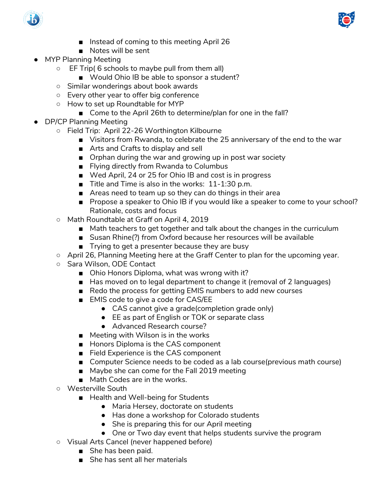



- Instead of coming to this meeting April 26
- Notes will be sent
- **MYP Planning Meeting** 
	- EF Trip( 6 schools to maybe pull from them all)
		- Would Ohio IB be able to sponsor a student?
	- Similar wonderings about book awards
	- Every other year to offer big conference
	- How to set up Roundtable for MYP
		- Come to the April 26th to determine/plan for one in the fall?
- DP/CP Planning Meeting
	- Field Trip: April 22-26 Worthington Kilbourne
		- Visitors from Rwanda, to celebrate the 25 anniversary of the end to the war
		- Arts and Crafts to display and sell
		- Orphan during the war and growing up in post war society
		- Flying directly from Rwanda to Columbus
		- Wed April, 24 or 25 for Ohio IB and cost is in progress
		- Title and Time is also in the works: 11-1:30 p.m.
		- Areas need to team up so they can do things in their area
		- Propose a speaker to Ohio IB if you would like a speaker to come to your school? Rationale, costs and focus
	- Math Roundtable at Graff on April 4, 2019
		- Math teachers to get together and talk about the changes in the curriculum
		- Susan Rhine(?) from Oxford because her resources will be available
		- Trying to get a presenter because they are busy
	- April 26, Planning Meeting here at the Graff Center to plan for the upcoming year.
	- Sara Wilson, ODE Contact
		- Ohio Honors Diploma, what was wrong with it?
		- Has moved on to legal department to change it (removal of 2 languages)
		- Redo the process for getting EMIS numbers to add new courses
		- EMIS code to give a code for CAS/EE
			- CAS cannot give a grade(completion grade only)
			- EE as part of English or TOK or separate class
			- Advanced Research course?
		- Meeting with Wilson is in the works
		- Honors Diploma is the CAS component
		- Field Experience is the CAS component
		- Computer Science needs to be coded as a lab course(previous math course)
		- Maybe she can come for the Fall 2019 meeting
		- Math Codes are in the works.
	- Westerville South
		- Health and Well-being for Students
			- Maria Hersey, doctorate on students
			- Has done a workshop for Colorado students
			- She is preparing this for our April meeting
			- One or Two day event that helps students survive the program
	- Visual Arts Cancel (never happened before)
		- She has been paid.
		- She has sent all her materials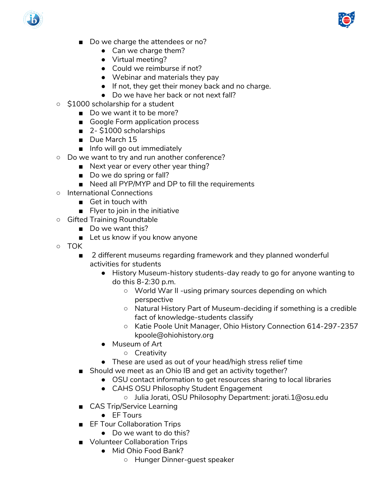



- Do we charge the attendees or no?
	- Can we charge them?
	- Virtual meeting?
	- Could we reimburse if not?
	- Webinar and materials they pay
	- If not, they get their money back and no charge.
	- Do we have her back or not next fall?
- \$1000 scholarship for a student
	- Do we want it to be more?
		- Google Form application process
		- 2- \$1000 scholarships
		- Due March 15
		- Info will go out immediately
- Do we want to try and run another conference?
	- Next year or every other year thing?
	- Do we do spring or fall?
	- Need all PYP/MYP and DP to fill the requirements
- International Connections
	- Get in touch with
	- Flyer to join in the initiative
- Gifted Training Roundtable
	- Do we want this?
	- Let us know if you know anyone
- TOK
	- 2 different museums regarding framework and they planned wonderful activities for students
		- History Museum-history students-day ready to go for anyone wanting to do this 8-2:30 p.m.
			- World War II -using primary sources depending on which perspective
			- Natural History Part of Museum-deciding if something is a credible fact of knowledge-students classify
			- Katie Poole Unit Manager, Ohio History Connection 614-297-2357 kpoole@ohiohistory.org
		- Museum of Art
			- Creativity
		- These are used as out of your head/high stress relief time
	- Should we meet as an Ohio IB and get an activity together?
		- OSU contact information to get resources sharing to local libraries
		- CAHS OSU Philosophy Student Engagement
			- Julia Jorati, OSU Philosophy Department: jorati.1@osu.edu
	- CAS Trip/Service Learning
		- EF Tours
	- EF Tour Collaboration Trips
		- Do we want to do this?
	- Volunteer Collaboration Trips
		- Mid Ohio Food Bank?
			- Hunger Dinner-guest speaker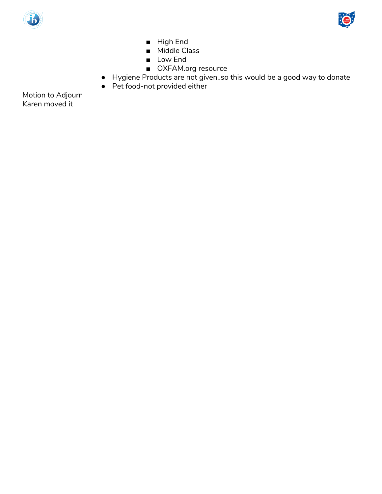



- High End
- Middle Class
- Low End
- OXFAM.org resource
- Hygiene Products are not given..so this would be a good way to donate
- Pet food-not provided either

Motion to Adjourn Karen moved it